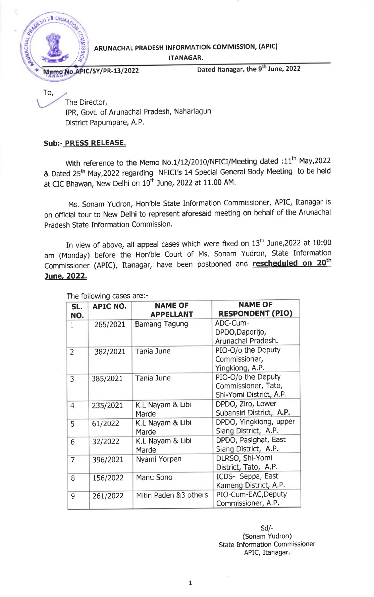

To,

ARUNACHAL PRADESH INFORMATION COMMISSION, (APIC)

ITANAGAR.

No. APIC/SY/PR-13/2022 Dated Itanagar, the 9<sup>th</sup> June, 2022

The Director, IPR, Govt. of Arunachal Pradesh, Naharlagun District Papumpare, A.P.

## Sub:- PRESS RELEASE.

With reference to the Memo No.1/12/2010/NFICI/Meeting dated :11<sup>th</sup> May,2022 & Dated 25<sup>th</sup> May,2022 regarding NFICI's 14 Special General Body Meeting to be held at CIC Bhawan, New Delhi on  $10^{th}$  June, 2022 at 11.00 AM.

Ms. sonam Yudron, Hon'ble state Information commissioner, APIC, Itanagar is on official tour to New Delhi to represent aforesaid meeting on behalf of the Arunachal Pradesh State Information Commission.

In view of above, all appeal cases which were fixed on  $13<sup>th</sup>$  June, 2022 at 10:00 am (Monday) before the Hon'ble court of Ms. sonam Yudron, state Information Commissioner (APIC), Itanagar, have been postponed and **rescheduled on 20<sup>th</sup>** June, 2022.

| SL.<br>NO.     | <b>APIC NO.</b> | <b>NAME OF</b><br><b>APPELLANT</b> | <b>NAME OF</b><br><b>RESPONDENT (PIO)</b>                            |
|----------------|-----------------|------------------------------------|----------------------------------------------------------------------|
| $\mathbf{1}$   | 265/2021        | Bamang Tagung                      | ADC-Cum-<br>DPDO, Daporijo,<br>Arunachal Pradesh.                    |
| $\overline{2}$ | 382/2021        | Tania June                         | PIO-O/o the Deputy<br>Commissioner,<br>Yingkiong, A.P.               |
| 3              | 385/2021        | Tania June                         | PIO-O/o the Deputy<br>Commissioner, Tato,<br>Shi-Yomi District, A.P. |
| $\overline{4}$ | 235/2021        | K.L Nayam & Libi<br>Marde          | DPDO, Ziro, Lower<br>Subansiri District, A.P.                        |
| 5              | 61/2022         | K.L Nayam & Libi<br>Marde          | DPDO, Yingkiong, upper<br>Siang District, A.P.                       |
| 6              | 32/2022         | K.L Nayam & Libi<br>Marde          | DPDO, Pasighat, East<br>Siang District, A.P.                         |
| $\overline{7}$ | 396/2021        | Nyami Yorpen                       | DLRSO, Shi-Yomi<br>District, Tato, A.P.                              |
| 8              | 156/2022        | Manu Sono                          | ICDS- Seppa, East<br>Kameng District, A.P.                           |
| 9              | 261/2022        | Mitin Paden &3 others              | PIO-Cum-EAC, Deputy<br>Commissioner, A.P.                            |

The following cases are:-

sd/- (Sonam Yudron) State Information Commissioner APIC, Itanagar.